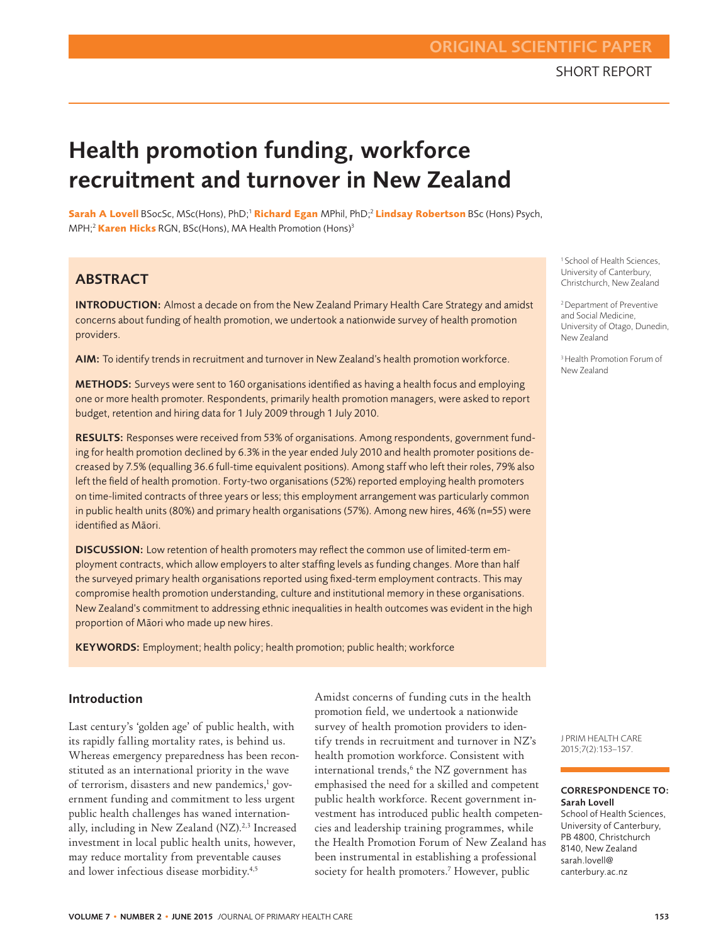# SHORT REPORT ORIGINAL SCIENTIFIC PAPER

# Health promotion funding, workforce recruitment and turnover in New Zealand

**Sarah A Lovell** BSocSc, MSc(Hons), PhD;1 **Richard Egan** MPhil, PhD;2 **Lindsay Robertson** BSc (Hons) Psych, MPH;2 **Karen Hicks** RGN, BSc(Hons), MA Health Promotion (Hons)3

## **ABSTRACT**

INTRODUCTION: Almost a decade on from the New Zealand Primary Health Care Strategy and amidst concerns about funding of health promotion, we undertook a nationwide survey of health promotion providers.

AIM: To identify trends in recruitment and turnover in New Zealand's health promotion workforce.

METHODS: Surveys were sent to 160 organisations identified as having a health focus and employing one or more health promoter. Respondents, primarily health promotion managers, were asked to report budget, retention and hiring data for 1 July 2009 through 1 July 2010.

RESULTS: Responses were received from 53% of organisations. Among respondents, government funding for health promotion declined by 6.3% in the year ended July 2010 and health promoter positions decreased by 7.5% (equalling 36.6 full-time equivalent positions). Among staff who left their roles, 79% also left the field of health promotion. Forty-two organisations (52%) reported employing health promoters on time-limited contracts of three years or less; this employment arrangement was particularly common in public health units (80%) and primary health organisations (57%). Among new hires, 46% (n=55) were identified as Māori.

DISCUSSION: Low retention of health promoters may reflect the common use of limited-term employment contracts, which allow employers to alter staffing levels as funding changes. More than half the surveyed primary health organisations reported using fixed-term employment contracts. This may compromise health promotion understanding, culture and institutional memory in these organisations. New Zealand's commitment to addressing ethnic inequalities in health outcomes was evident in the high proportion of Māori who made up new hires.

KEYWORDS: Employment; health policy; health promotion; public health; workforce

#### Introduction

Last century's 'golden age' of public health, with its rapidly falling mortality rates, is behind us. Whereas emergency preparedness has been reconstituted as an international priority in the wave of terrorism, disasters and new pandemics,<sup>1</sup> government funding and commitment to less urgent public health challenges has waned internationally, including in New Zealand (NZ).<sup>2,3</sup> Increased investment in local public health units, however, may reduce mortality from preventable causes and lower infectious disease morbidity.<sup>4,5</sup>

Amidst concerns of funding cuts in the health promotion field, we undertook a nationwide survey of health promotion providers to identify trends in recruitment and turnover in NZ's health promotion workforce. Consistent with international trends,<sup>6</sup> the NZ government has emphasised the need for a skilled and competent public health workforce. Recent government investment has introduced public health competencies and leadership training programmes, while the Health Promotion Forum of New Zealand has been instrumental in establishing a professional society for health promoters.<sup>7</sup> However, public

<sup>1</sup> School of Health Sciences, University of Canterbury, Christchurch, New Zealand

2 Department of Preventive and Social Medicine, University of Otago, Dunedin, New Zealand

3 Health Promotion Forum of New Zealand

J PRIM HEALTH CARE 2015;7(2):153–157.

#### CORRESPONDENCE TO: Sarah Lovell

School of Health Sciences, University of Canterbury, PB 4800, Christchurch 8140, New Zealand sarah.lovell@ canterbury.ac.nz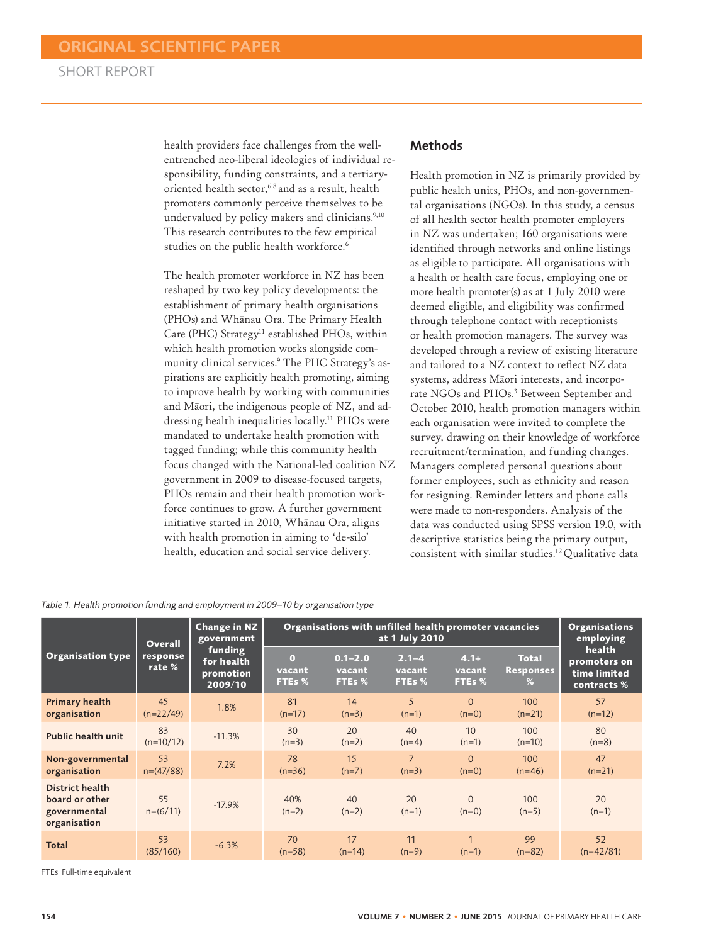health providers face challenges from the wellentrenched neo-liberal ideologies of individual responsibility, funding constraints, and a tertiaryoriented health sector,<sup>6,8</sup> and as a result, health promoters commonly perceive themselves to be undervalued by policy makers and clinicians.<sup>9,10</sup> This research contributes to the few empirical studies on the public health workforce.<sup>6</sup>

The health promoter workforce in NZ has been reshaped by two key policy developments: the establishment of primary health organisations (PHOs) and Whānau Ora. The Primary Health Care (PHC) Strategy<sup>11</sup> established PHOs, within which health promotion works alongside community clinical services.9 The PHC Strategy's aspirations are explicitly health promoting, aiming to improve health by working with communities and Māori, the indigenous people of NZ, and addressing health inequalities locally.11 PHOs were mandated to undertake health promotion with tagged funding; while this community health focus changed with the National-led coalition NZ government in 2009 to disease-focused targets, PHOs remain and their health promotion workforce continues to grow. A further government initiative started in 2010, Whānau Ora, aligns with health promotion in aiming to 'de-silo' health, education and social service delivery.

## Methods

Health promotion in NZ is primarily provided by public health units, PHOs, and non-governmental organisations (NGOs). In this study, a census of all health sector health promoter employers in NZ was undertaken; 160 organisations were identified through networks and online listings as eligible to participate. All organisations with a health or health care focus, employing one or more health promoter(s) as at 1 July 2010 were deemed eligible, and eligibility was confirmed through telephone contact with receptionists or health promotion managers. The survey was developed through a review of existing literature and tailored to a NZ context to reflect NZ data systems, address Māori interests, and incorporate NGOs and PHOs.<sup>3</sup> Between September and October 2010, health promotion managers within each organisation were invited to complete the survey, drawing on their knowledge of workforce recruitment/termination, and funding changes. Managers completed personal questions about former employees, such as ethnicity and reason for resigning. Reminder letters and phone calls were made to non-responders. Analysis of the data was conducted using SPSS version 19.0, with descriptive statistics being the primary output, consistent with similar studies.12 Qualitative data

| <b>Organisation type</b>                                                 | <b>Overall</b><br>response<br>rate % | <b>Change in NZ</b><br>government<br>funding<br>for health<br>promotion<br>2009/10 | Organisations with unfilled health promoter vacancies<br>at 1 July 2010 |                                 |                               |                            |                                       | <b>Organisations</b><br>employing                    |
|--------------------------------------------------------------------------|--------------------------------------|------------------------------------------------------------------------------------|-------------------------------------------------------------------------|---------------------------------|-------------------------------|----------------------------|---------------------------------------|------------------------------------------------------|
|                                                                          |                                      |                                                                                    | $\Omega$<br>vacant<br>FTEs %                                            | $0.1 - 2.0$<br>vacant<br>FTEs % | $2.1 - 4$<br>vacant<br>FTEs % | $4.1+$<br>vacant<br>FTEs % | <b>Total</b><br><b>Responses</b><br>% | health<br>promoters on<br>time limited<br>contracts% |
| <b>Primary health</b><br>organisation                                    | 45<br>$(n=22/49)$                    | 1.8%                                                                               | 81<br>$(n=17)$                                                          | 14<br>$(n=3)$                   | 5<br>$(n=1)$                  | $\Omega$<br>$(n=0)$        | 100<br>$(n=21)$                       | 57<br>$(n=12)$                                       |
| <b>Public health unit</b>                                                | 83<br>$(n=10/12)$                    | $-11.3%$                                                                           | 30<br>$(n=3)$                                                           | 20<br>$(n=2)$                   | 40<br>$(n=4)$                 | 10<br>$(n=1)$              | 100<br>$(n=10)$                       | 80<br>$(n=8)$                                        |
| Non-governmental<br>organisation                                         | 53<br>$n=(47/88)$                    | 7.2%                                                                               | 78<br>$(n=36)$                                                          | 15<br>$(n=7)$                   | $\overline{7}$<br>$(n=3)$     | $\Omega$<br>$(n=0)$        | 100<br>$(n=46)$                       | 47<br>$(n=21)$                                       |
| <b>District health</b><br>board or other<br>governmental<br>organisation | 55<br>$n=(6/11)$                     | $-17.9%$                                                                           | 40%<br>$(n=2)$                                                          | 40<br>$(n=2)$                   | 20<br>$(n=1)$                 | $\Omega$<br>$(n=0)$        | 100<br>$(n=5)$                        | 20<br>$(n=1)$                                        |
| <b>Total</b>                                                             | 53<br>(85/160)                       | $-6.3%$                                                                            | 70<br>$(n=58)$                                                          | 17<br>$(n=14)$                  | 11<br>$(n=9)$                 | $(n=1)$                    | 99<br>$(n=82)$                        | 52<br>$(n=42/81)$                                    |

*Table 1. Health promotion funding and employment in 2009–10 by organisation type* 

FTEs Full-time equivalent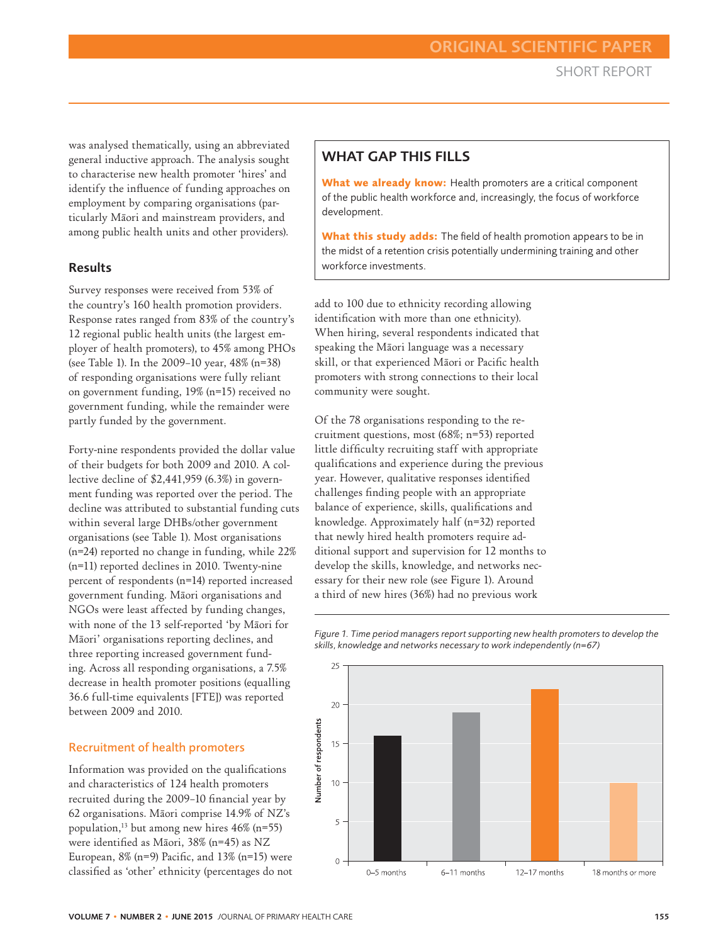was analysed thematically, using an abbreviated general inductive approach. The analysis sought to characterise new health promoter 'hires' and identify the influence of funding approaches on employment by comparing organisations (particularly Māori and mainstream providers, and among public health units and other providers).

## Results

Survey responses were received from 53% of the country's 160 health promotion providers. Response rates ranged from 83% of the country's 12 regional public health units (the largest employer of health promoters), to 45% among PHOs (see Table 1). In the 2009–10 year, 48% (n=38) of responding organisations were fully reliant on government funding, 19% (n=15) received no government funding, while the remainder were partly funded by the government.

Forty-nine respondents provided the dollar value of their budgets for both 2009 and 2010. A collective decline of \$2,441,959 (6.3%) in government funding was reported over the period. The decline was attributed to substantial funding cuts within several large DHBs/other government organisations (see Table 1). Most organisations (n=24) reported no change in funding, while 22% (n=11) reported declines in 2010. Twenty-nine percent of respondents (n=14) reported increased government funding. Māori organisations and NGOs were least affected by funding changes, with none of the 13 self-reported 'by Māori for Māori' organisations reporting declines, and three reporting increased government funding. Across all responding organisations, a 7.5% decrease in health promoter positions (equalling 36.6 full-time equivalents [FTE]) was reported between 2009 and 2010.

## Recruitment of health promoters

Information was provided on the qualifications and characteristics of 124 health promoters recruited during the 2009–10 financial year by 62 organisations. Māori comprise 14.9% of NZ's population,<sup>13</sup> but among new hires  $46\%$  (n=55) were identified as Māori, 38% (n=45) as NZ European,  $8\%$  (n=9) Pacific, and  $13\%$  (n=15) were classified as 'other' ethnicity (percentages do not

## WHAT GAP THIS FILLS

**What we already know:** Health promoters are a critical component of the public health workforce and, increasingly, the focus of workforce development.

**What this study adds:** The field of health promotion appears to be in the midst of a retention crisis potentially undermining training and other workforce investments.

add to 100 due to ethnicity recording allowing identification with more than one ethnicity). When hiring, several respondents indicated that speaking the Māori language was a necessary skill, or that experienced Māori or Pacific health promoters with strong connections to their local community were sought.

Of the 78 organisations responding to the recruitment questions, most (68%; n=53) reported little difficulty recruiting staff with appropriate qualifications and experience during the previous year. However, qualitative responses identified challenges finding people with an appropriate balance of experience, skills, qualifications and knowledge. Approximately half (n=32) reported that newly hired health promoters require additional support and supervision for 12 months to develop the skills, knowledge, and networks necessary for their new role (see Figure 1). Around a third of new hires (36%) had no previous work

*skills, knowledge and networks necessary to work independently (n=67)*  $25$ 

*Figure 1. Time period managers report supporting new health promoters to develop the* 

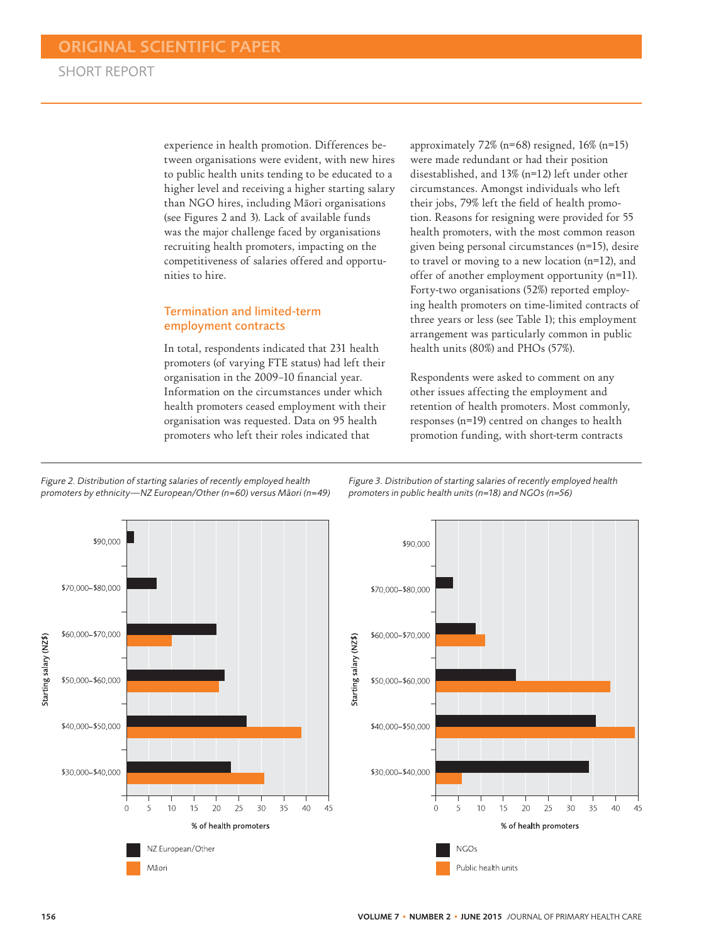experience in health promotion. Differences between organisations were evident, with new hires to public health units tending to be educated to a higher level and receiving a higher starting salary than NGO hires, including Māori organisations (see Figures 2 and 3). Lack of available funds was the major challenge faced by organisations recruiting health promoters, impacting on the competitiveness of salaries offered and opportunities to hire.

### Termination and limited-term employment contracts

In total, respondents indicated that 231 health promoters (of varying FTE status) had left their organisation in the 2009–10 financial year. Information on the circumstances under which health promoters ceased employment with their organisation was requested. Data on 95 health promoters who left their roles indicated that

approximately 72% (n=68) resigned, 16% (n=15) were made redundant or had their position disestablished, and 13% (n=12) left under other circumstances. Amongst individuals who left their jobs, 79% left the field of health promotion. Reasons for resigning were provided for 55 health promoters, with the most common reason given being personal circumstances (n=15), desire to travel or moving to a new location (n=12), and offer of another employment opportunity (n=11). Forty-two organisations (52%) reported employing health promoters on time-limited contracts of three years or less (see Table 1); this employment arrangement was particularly common in public health units (80%) and PHOs (57%).

Respondents were asked to comment on any other issues affecting the employment and retention of health promoters. Most commonly, responses (n=19) centred on changes to health promotion funding, with short-term contracts





*Figure 3. Distribution of starting salaries of recently employed health promoters in public health units (n=18) and NGOs (n=56)*